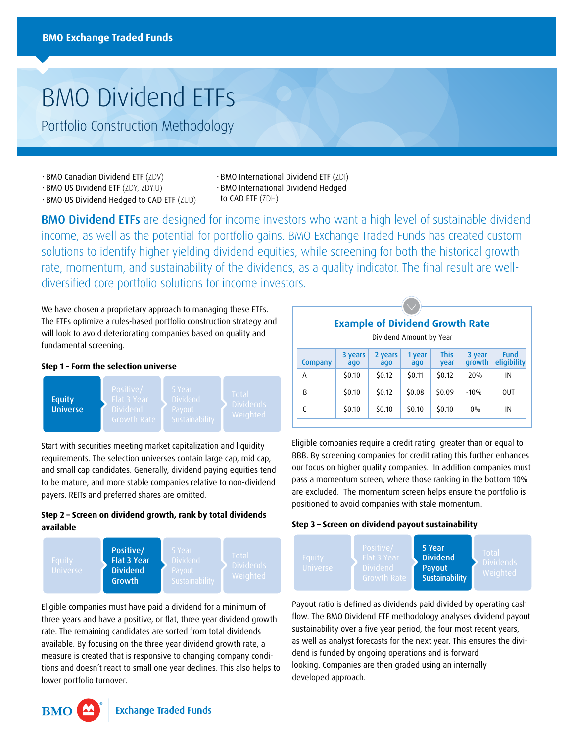# BMO Dividend ETFs

Portfolio Construction Methodology

• BMO Canadian Dividend ETF (ZDV) • BMO US Dividend ETF

• BMO US Dividend Hedged to CAD ETF

- BMO International Dividend ETF (ZDI)
- BMO International Dividend Hedged
- to CAD ETF (ZDH)

**BMO Dividend ETFs** are designed for income investors who want a high level of sustainable dividend income, as well as the potential for portfolio gains. BMO Exchange Traded Funds has created custom solutions to identify higher yielding dividend equities, while screening for both the historical growth rate, momentum, and sustainability of the dividends, as a quality indicator. The final result are welldiversified core portfolio solutions for income investors.

We have chosen a proprietary approach to managing these ETFs. The ETFs optimize a rules-based portfolio construction strategy and will look to avoid deteriorating companies based on quality and fundamental screening.

# **Step 1 – Form the selection universe**



Start with securities meeting market capitalization and liquidity requirements. The selection universes contain large cap, mid cap, and small cap candidates. Generally, dividend paying equities tend to be mature, and more stable companies relative to non-dividend payers. REITs and preferred shares are omitted.

## **Step 2 – Screen on dividend growth, rank by total dividends available**



Eligible companies must have paid a dividend for a minimum of three years and have a positive, or flat, three year dividend growth rate. The remaining candidates are sorted from total dividends available. By focusing on the three year dividend growth rate, a measure is created that is responsive to changing company conditions and doesn't react to small one year declines. This also helps to lower portfolio turnover.

**Example of Dividend Growth Rate** Dividend Amount by Year 3 years | 2 years | 1 year | This | 3 year | Fund |

| Company | <u>sing</u><br>ago | 2000<br>ago | $\mathbf{r}$<br>ago | <br>vear | <u>s veur</u><br><b>growth</b> | .<br>eligibility |
|---------|--------------------|-------------|---------------------|----------|--------------------------------|------------------|
| А       | \$0.10             | \$0.12      | \$0.11              | \$0.12   | 20%                            | IN               |
| B       | \$0.10             | \$0.12      | \$0.08              | \$0.09   | $-10%$                         | OUT              |
|         | \$0.10             | \$0.10      | \$0.10              | \$0.10   | $0\%$                          | IN               |

Eligible companies require a credit rating greater than or equal to BBB. By screening companies for credit rating this further enhances our focus on higher quality companies. In addition companies must pass a momentum screen, where those ranking in the bottom 10% are excluded. The momentum screen helps ensure the portfolio is positioned to avoid companies with stale momentum.

## **Step 3 – Screen on dividend payout sustainability**



Payout ratio is defined as dividends paid divided by operating cash flow. The BMO Dividend ETF methodology analyses dividend payout sustainability over a five year period, the four most recent years, as well as analyst forecasts for the next year. This ensures the dividend is funded by ongoing operations and is forward looking. Companies are then graded using an internally developed approach.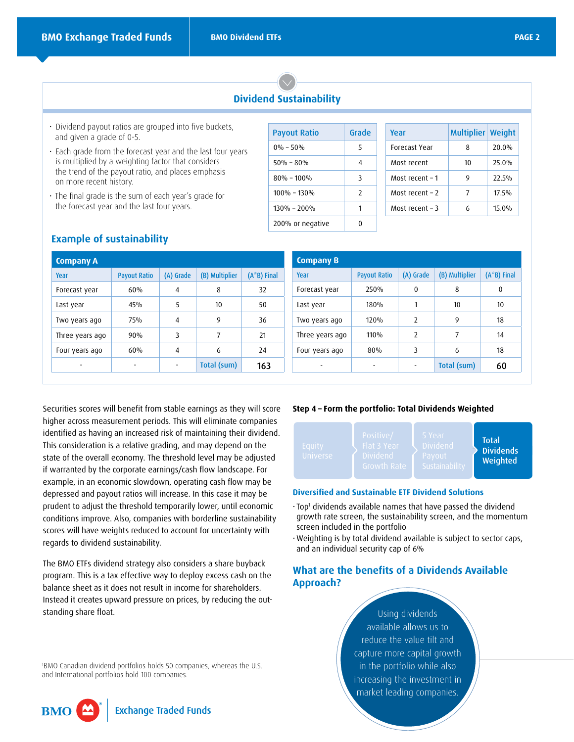# **Dividend Sustainability**

- Dividend payout ratios are grouped into five buckets, and given a grade of 0-5.
- Each grade from the forecast year and the last four years is multiplied by a weighting factor that considers the trend of the payout ratio, and places emphasis on more recent history.
- The final grade is the sum of each year's grade for the forecast year and the last four years.

| <b>Payout Ratio</b> | Grade         |
|---------------------|---------------|
| $0\% - 50\%$        | 5             |
| $50\% - 80\%$       | 4             |
| $80\% - 100\%$      | 3             |
| $100\% - 130\%$     | $\mathcal{P}$ |
| $130\% - 200\%$     |               |
| 200% or negative    |               |

| Year            | Multiplier Weight |       |
|-----------------|-------------------|-------|
| Forecast Year   | 8                 | 20.0% |
| Most recent     | 10                | 25.0% |
| Most recent - 1 | 9                 | 22.5% |
| Most recent - 2 | 7                 | 17.5% |
| Most recent - 3 | 6                 | 15.0% |

| <b>Company A</b> |                     |           |                |                 |
|------------------|---------------------|-----------|----------------|-----------------|
| Year             | <b>Payout Ratio</b> | (A) Grade | (B) Multiplier | $(A * B)$ Final |
| Forecast year    | 60%                 | 4         | 8              | 32              |
| Last year        | 45%                 | 5         | 10             | 50              |
| Two years ago    | 75%                 | 4         | 9              | 36              |
| Three years ago  | 90%                 | 3         | 7              | 21              |
| Four years ago   | 60%                 | 4         | 6              | 24              |
|                  |                     |           | Total (sum)    | 163             |

# **Example of sustainability**

| <b>Company B</b> |                     |                          |                |                 |
|------------------|---------------------|--------------------------|----------------|-----------------|
| Year             | <b>Payout Ratio</b> | (A) Grade                | (B) Multiplier | $(A * B)$ Final |
| Forecast year    | 250%                | 0                        | 8              | 0               |
| Last year        | 180%                | 1                        | 10             | 10              |
| Two years ago    | 120%                | $\overline{\phantom{0}}$ | 9              | 18              |
| Three years ago  | 110%                | $\overline{\phantom{0}}$ | 7              | 14              |
| Four years ago   | 80%                 | 3                        | 6              | 18              |
|                  |                     |                          | Total (sum)    | 60              |

Securities scores will benefit from stable earnings as they will score higher across measurement periods. This will eliminate companies identified as having an increased risk of maintaining their dividend. This consideration is a relative grading, and may depend on the state of the overall economy. The threshold level may be adjusted if warranted by the corporate earnings/cash flow landscape. For example, in an economic slowdown, operating cash flow may be depressed and payout ratios will increase. In this case it may be prudent to adjust the threshold temporarily lower, until economic conditions improve. Also, companies with borderline sustainability scores will have weights reduced to account for uncertainty with regards to dividend sustainability.

The BMO ETFs dividend strategy also considers a share buyback program. This is a tax effective way to deploy excess cash on the balance sheet as it does not result in income for shareholders. Instead it creates upward pressure on prices, by reducing the outstanding share float.

1 BMO Canadian dividend portfolios holds 50 companies, whereas the U.S. and International portfolios hold 100 companies.

#### **Step 4 – Form the portfolio: Total Dividends Weighted**



**Total Dividends** Weighted

## **Diversified and Sustainable ETF Dividend Solutions**

- $\cdot$  Top<sup>1</sup> dividends available names that have passed the dividend growth rate screen, the sustainability screen, and the momentum screen included in the portfolio
- Weighting is by total dividend available is subject to sector caps, and an individual security cap of 6%

# **What are the benefits of a Dividends Available Approach?**

Using dividends available allows us to reduce the value tilt and capture more capital growth in the portfolio while also increasing the investment in market leading companies.